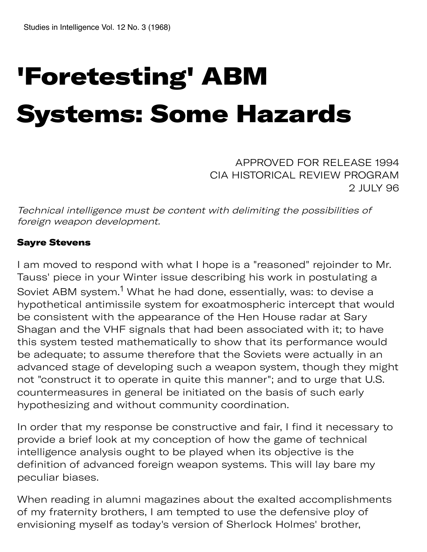# 'Foretesting' ABM Systems: Some Hazards

APPROVED FOR RELEASE 1994 CIA HISTORICAL REVIEW PROGRAM 2 JULY 96

Technical intelligence must be content with delimiting the possibilities of foreign weapon development.

#### Sayre Stevens

I am moved to respond with what I hope is a "reasoned" rejoinder to Mr. Tauss' piece in your Winter issue describing his work in postulating a Soviet ABM system.<sup>1</sup> What he had done, essentially, was: to devise a hypothetical antimissile system for exoatmospheric intercept that would be consistent with the appearance of the Hen House radar at Sary Shagan and the VHF signals that had been associated with it; to have this system tested mathematically to show that its performance would be adequate; to assume therefore that the Soviets were actually in an advanced stage of developing such a weapon system, though they might not "construct it to operate in quite this manner"; and to urge that U.S. countermeasures in general be initiated on the basis of such early hypothesizing and without community coordination.

In order that my response be constructive and fair, I find it necessary to provide a brief look at my conception of how the game of technical intelligence analysis ought to be played when its objective is the definition of advanced foreign weapon systems. This will lay bare my peculiar biases.

When reading in alumni magazines about the exalted accomplishments of my fraternity brothers, I am tempted to use the defensive ploy of envisioning myself as today's version of Sherlock Holmes' brother,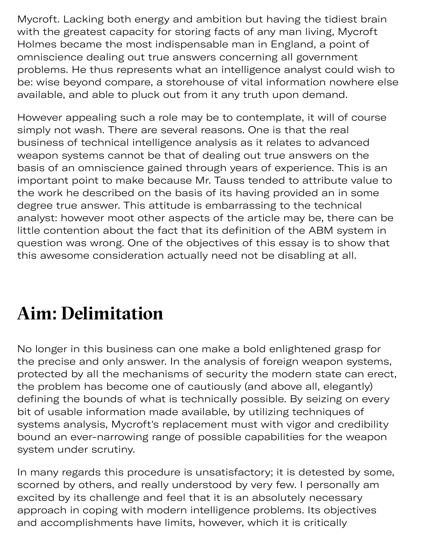Mycroft. Lacking both energy and ambition but having the tidiest brain with the greatest capacity for storing facts of any man living, Mycroft Holmes became the most indispensable man in England, a point of omniscience dealing out true answers concerning all government problems. He thus represents what an intelligence analyst could wish to be: wise beyond compare, a storehouse of vital information nowhere else available, and able to pluck out from it any truth upon demand.

However appealing such a role may be to contemplate, it will of course simply not wash. There are several reasons. One is that the real business of technical intelligence analysis as it relates to advanced weapon systems cannot be that of dealing out true answers on the basis of an omniscience gained through years of experience. This is an important point to make because Mr. Tauss tended to attribute value to the work he described on the basis of its having provided an in some degree true answer. This attitude is embarrassing to the technical analyst: however moot other aspects of the article may be, there can be little contention about the fact that its definition of the ABM system in question was wrong. One of the objectives of this essay is to show that this awesome consideration actually need not be disabling at all.

# **Aim: Delimitation**

No longer in this business can one make a bold enlightened grasp for the precise and only answer. In the analysis of foreign weapon systems, protected by all the mechanisms of security the modern state can erect, the problem has become one of cautiously (and above all, elegantly) defining the bounds of what is technically possible. By seizing on every bit of usable information made available, by utilizing techniques of systems analysis, Mycroft's replacement must with vigor and credibility bound an ever-narrowing range of possible capabilities for the weapon system under scrutiny.

In many regards this procedure is unsatisfactory; it is detested by some, scorned by others, and really understood by very few. I personally am excited by its challenge and feel that it is an absolutely necessary approach in coping with modern intelligence problems. Its objectives and accomplishments have limits, however, which it is critically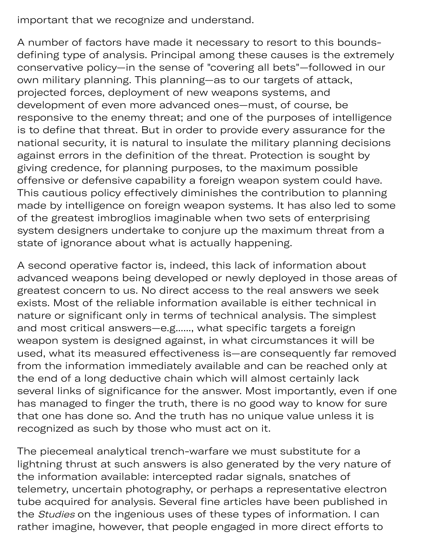important that we recognize and understand.

A number of factors have made it necessary to resort to this boundsdefining type of analysis. Principal among these causes is the extremely conservative policy—in the sense of "covering all bets"—followed in our own military planning. This planning—as to our targets of attack, projected forces, deployment of new weapons systems, and development of even more advanced ones—must, of course, be responsive to the enemy threat; and one of the purposes of intelligence is to define that threat. But in order to provide every assurance for the national security, it is natural to insulate the military planning decisions against errors in the definition of the threat. Protection is sought by giving credence, for planning purposes, to the maximum possible offensive or defensive capability a foreign weapon system could have. This cautious policy effectively diminishes the contribution to planning made by intelligence on foreign weapon systems. It has also led to some of the greatest imbroglios imaginable when two sets of enterprising system designers undertake to conjure up the maximum threat from a state of ignorance about what is actually happening.

A second operative factor is, indeed, this lack of information about advanced weapons being developed or newly deployed in those areas of greatest concern to us. No direct access to the real answers we seek exists. Most of the reliable information available is either technical in nature or significant only in terms of technical analysis. The simplest and most critical answers—e.g......, what specific targets a foreign weapon system is designed against, in what circumstances it will be used, what its measured effectiveness is—are consequently far removed from the information immediately available and can be reached only at the end of a long deductive chain which will almost certainly lack several links of significance for the answer. Most importantly, even if one has managed to finger the truth, there is no good way to know for sure that one has done so. And the truth has no unique value unless it is recognized as such by those who must act on it.

The piecemeal analytical trench-warfare we must substitute for a lightning thrust at such answers is also generated by the very nature of the information available: intercepted radar signals, snatches of telemetry, uncertain photography, or perhaps a representative electron tube acquired for analysis. Several fine articles have been published in the Studies on the ingenious uses of these types of information. I can rather imagine, however, that people engaged in more direct efforts to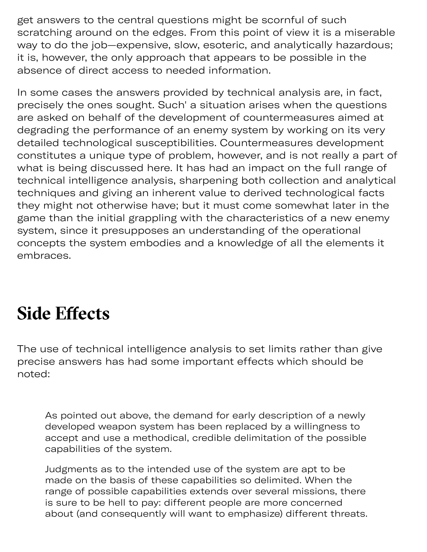get answers to the central questions might be scornful of such scratching around on the edges. From this point of view it is a miserable way to do the job—expensive, slow, esoteric, and analytically hazardous; it is, however, the only approach that appears to be possible in the absence of direct access to needed information.

In some cases the answers provided by technical analysis are, in fact, precisely the ones sought. Such' a situation arises when the questions are asked on behalf of the development of countermeasures aimed at degrading the performance of an enemy system by working on its very detailed technological susceptibilities. Countermeasures development constitutes a unique type of problem, however, and is not really a part of what is being discussed here. It has had an impact on the full range of technical intelligence analysis, sharpening both collection and analytical techniques and giving an inherent value to derived technological facts they might not otherwise have; but it must come somewhat later in the game than the initial grappling with the characteristics of a new enemy system, since it presupposes an understanding of the operational concepts the system embodies and a knowledge of all the elements it embraces.

### **Side Efects**

The use of technical intelligence analysis to set limits rather than give precise answers has had some important effects which should be noted:

As pointed out above, the demand for early description of a newly developed weapon system has been replaced by a willingness to accept and use a methodical, credible delimitation of the possible capabilities of the system.

Judgments as to the intended use of the system are apt to be made on the basis of these capabilities so delimited. When the range of possible capabilities extends over several missions, there is sure to be hell to pay: different people are more concerned about (and consequently will want to emphasize) different threats.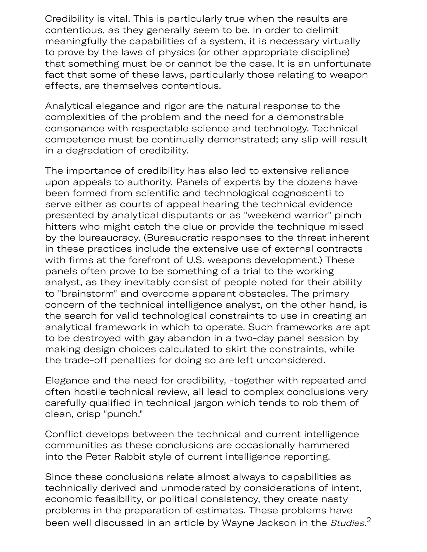Credibility is vital. This is particularly true when the results are contentious, as they generally seem to be. In order to delimit meaningfully the capabilities of a system, it is necessary virtually to prove by the laws of physics (or other appropriate discipline) that something must be or cannot be the case. It is an unfortunate fact that some of these laws, particularly those relating to weapon effects, are themselves contentious.

Analytical elegance and rigor are the natural response to the complexities of the problem and the need for a demonstrable consonance with respectable science and technology. Technical competence must be continually demonstrated; any slip will result in a degradation of credibility.

The importance of credibility has also led to extensive reliance upon appeals to authority. Panels of experts by the dozens have been formed from scientific and technological cognoscenti to serve either as courts of appeal hearing the technical evidence presented by analytical disputants or as "weekend warrior" pinch hitters who might catch the clue or provide the technique missed by the bureaucracy. (Bureaucratic responses to the threat inherent in these practices include the extensive use of external contracts with firms at the forefront of U.S. weapons development.) These panels often prove to be something of a trial to the working analyst, as they inevitably consist of people noted for their ability to "brainstorm" and overcome apparent obstacles. The primary concern of the technical intelligence analyst, on the other hand, is the search for valid technological constraints to use in creating an analytical framework in which to operate. Such frameworks are apt to be destroyed with gay abandon in a two-day panel session by making design choices calculated to skirt the constraints, while the trade-off penalties for doing so are left unconsidered.

Elegance and the need for credibility, -together with repeated and often hostile technical review, all lead to complex conclusions very carefully qualified in technical jargon which tends to rob them of clean, crisp "punch."

Conflict develops between the technical and current intelligence communities as these conclusions are occasionally hammered into the Peter Rabbit style of current intelligence reporting.

Since these conclusions relate almost always to capabilities as technically derived and unmoderated by considerations of intent, economic feasibility, or political consistency, they create nasty problems in the preparation of estimates. These problems have been well discussed in an article by Wayne Jackson in the  $\mathcal{S}$ tudies. $^2$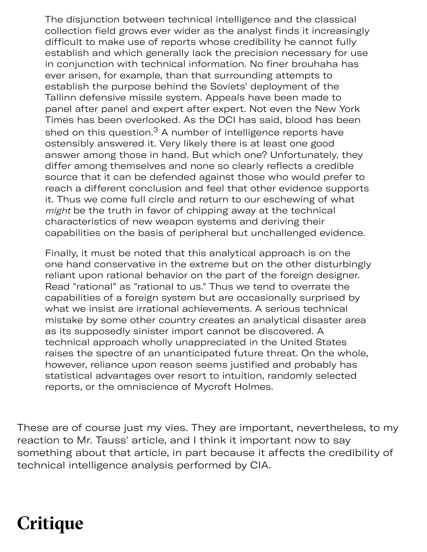The disjunction between technical intelligence and the classical collection field grows ever wider as the analyst finds it increasingly difficult to make use of reports whose credibility he cannot fully establish and which generally lack the precision necessary for use in conjunction with technical information. No finer brouhaha has ever arisen, for example, than that surrounding attempts to establish the purpose behind the Soviets' deployment of the Tallinn defensive missile system. Appeals have been made to panel after panel and expert after expert. Not even the New York Times has been overlooked. As the DCI has said, blood has been shed on this question. $^3$  A number of intelligence reports have ostensibly answered it. Very likely there is at least one good answer among those in hand. But which one? Unfortunately, they differ among themselves and none so clearly reflects a credible source that it can be defended against those who would prefer to reach a different conclusion and feel that other evidence supports it. Thus we come full circle and return to our eschewing of what might be the truth in favor of chipping away at the technical characteristics of new weapon systems and deriving their capabilities on the basis of peripheral but unchallenged evidence.

Finally, it must be noted that this analytical approach is on the one hand conservative in the extreme but on the other disturbingly reliant upon rational behavior on the part of the foreign designer. Read "rational" as "rational to us." Thus we tend to overrate the capabilities of a foreign system but are occasionally surprised by what we insist are irrational achievements. A serious technical mistake by some other country creates an analytical disaster area as its supposedly sinister import cannot be discovered. A technical approach wholly unappreciated in the United States raises the spectre of an unanticipated future threat. On the whole, however, reliance upon reason seems justified and probably has statistical advantages over resort to intuition, randomly selected reports, or the omniscience of Mycroft Holmes.

These are of course just my vies. They are important, nevertheless, to my reaction to Mr. Tauss' article, and I think it important now to say something about that article, in part because it affects the credibility of technical intelligence analysis performed by CIA.

# **Critique**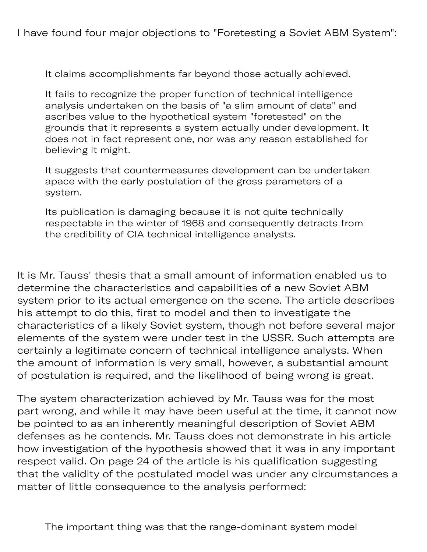I have found four major objections to "Foretesting a Soviet ABM System":

It claims accomplishments far beyond those actually achieved.

It fails to recognize the proper function of technical intelligence analysis undertaken on the basis of "a slim amount of data" and ascribes value to the hypothetical system "foretested" on the grounds that it represents a system actually under development. It does not in fact represent one, nor was any reason established for believing it might.

It suggests that countermeasures development can be undertaken apace with the early postulation of the gross parameters of a system.

Its publication is damaging because it is not quite technically respectable in the winter of 1968 and consequently detracts from the credibility of CIA technical intelligence analysts.

It is Mr. Tauss' thesis that a small amount of information enabled us to determine the characteristics and capabilities of a new Soviet ABM system prior to its actual emergence on the scene. The article describes his attempt to do this, first to model and then to investigate the characteristics of a likely Soviet system, though not before several major elements of the system were under test in the USSR. Such attempts are certainly a legitimate concern of technical intelligence analysts. When the amount of information is very small, however, a substantial amount of postulation is required, and the likelihood of being wrong is great.

The system characterization achieved by Mr. Tauss was for the most part wrong, and while it may have been useful at the time, it cannot now be pointed to as an inherently meaningful description of Soviet ABM defenses as he contends. Mr. Tauss does not demonstrate in his article how investigation of the hypothesis showed that it was in any important respect valid. On page 24 of the article is his qualification suggesting that the validity of the postulated model was under any circumstances a matter of little consequence to the analysis performed: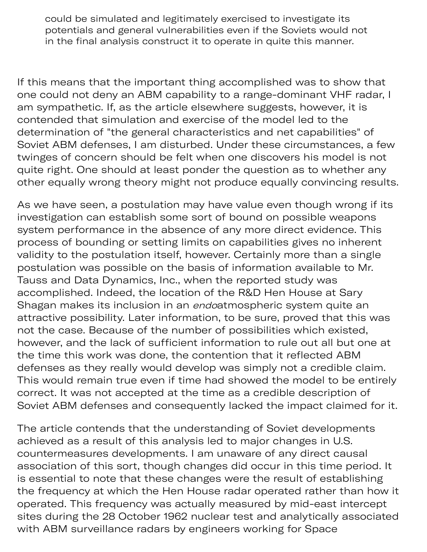could be simulated and legitimately exercised to investigate its potentials and general vulnerabilities even if the Soviets would not in the final analysis construct it to operate in quite this manner.

If this means that the important thing accomplished was to show that one could not deny an ABM capability to a range-dominant VHF radar, I am sympathetic. If, as the article elsewhere suggests, however, it is contended that simulation and exercise of the model led to the determination of "the general characteristics and net capabilities" of Soviet ABM defenses, I am disturbed. Under these circumstances, a few twinges of concern should be felt when one discovers his model is not quite right. One should at least ponder the question as to whether any other equally wrong theory might not produce equally convincing results.

As we have seen, a postulation may have value even though wrong if its investigation can establish some sort of bound on possible weapons system performance in the absence of any more direct evidence. This process of bounding or setting limits on capabilities gives no inherent validity to the postulation itself, however. Certainly more than a single postulation was possible on the basis of information available to Mr. Tauss and Data Dynamics, Inc., when the reported study was accomplished. Indeed, the location of the R&D Hen House at Sary Shagan makes its inclusion in an endoatmospheric system quite an attractive possibility. Later information, to be sure, proved that this was not the case. Because of the number of possibilities which existed, however, and the lack of sufficient information to rule out all but one at the time this work was done, the contention that it reflected ABM defenses as they really would develop was simply not a credible claim. This would remain true even if time had showed the model to be entirely correct. It was not accepted at the time as a credible description of Soviet ABM defenses and consequently lacked the impact claimed for it.

The article contends that the understanding of Soviet developments achieved as a result of this analysis led to major changes in U.S. countermeasures developments. I am unaware of any direct causal association of this sort, though changes did occur in this time period. It is essential to note that these changes were the result of establishing the frequency at which the Hen House radar operated rather than how it operated. This frequency was actually measured by mid-east intercept sites during the 28 October 1962 nuclear test and analytically associated with ABM surveillance radars by engineers working for Space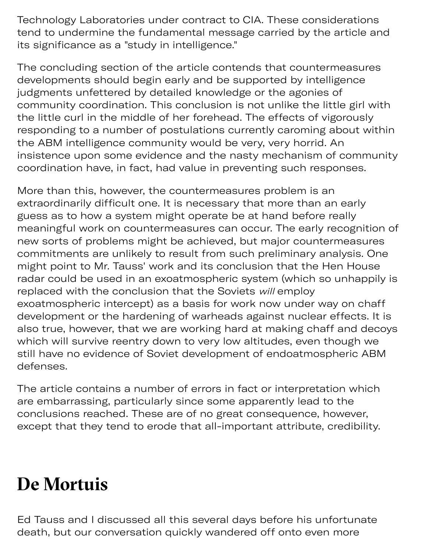Technology Laboratories under contract to CIA. These considerations tend to undermine the fundamental message carried by the article and its significance as a "study in intelligence."

The concluding section of the article contends that countermeasures developments should begin early and be supported by intelligence judgments unfettered by detailed knowledge or the agonies of community coordination. This conclusion is not unlike the little girl with the little curl in the middle of her forehead. The effects of vigorously responding to a number of postulations currently caroming about within the ABM intelligence community would be very, very horrid. An insistence upon some evidence and the nasty mechanism of community coordination have, in fact, had value in preventing such responses.

More than this, however, the countermeasures problem is an extraordinarily difficult one. It is necessary that more than an early guess as to how a system might operate be at hand before really meaningful work on countermeasures can occur. The early recognition of new sorts of problems might be achieved, but major countermeasures commitments are unlikely to result from such preliminary analysis. One might point to Mr. Tauss' work and its conclusion that the Hen House radar could be used in an exoatmospheric system (which so unhappily is replaced with the conclusion that the Soviets will employ exoatmospheric intercept) as a basis for work now under way on chaff development or the hardening of warheads against nuclear effects. It is also true, however, that we are working hard at making chaff and decoys which will survive reentry down to very low altitudes, even though we still have no evidence of Soviet development of endoatmospheric ABM defenses.

The article contains a number of errors in fact or interpretation which are embarrassing, particularly since some apparently lead to the conclusions reached. These are of no great consequence, however, except that they tend to erode that all-important attribute, credibility.

### **De Mortuis**

Ed Tauss and I discussed all this several days before his unfortunate death, but our conversation quickly wandered off onto even more